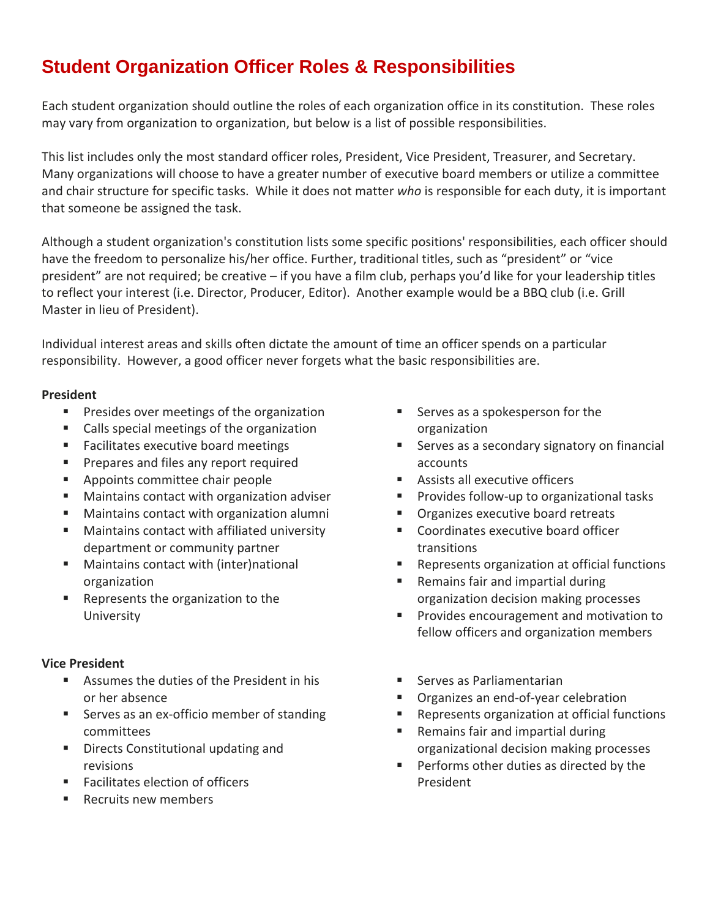# **Student Organization Officer Roles & Responsibilities**

Each student organization should outline the roles of each organization office in its constitution. These roles may vary from organization to organization, but below is a list of possible responsibilities.

This list includes only the most standard officer roles, President, Vice President, Treasurer, and Secretary. Many organizations will choose to have a greater number of executive board members or utilize a committee and chair structure for specific tasks. While it does not matter *who* is responsible for each duty, it is important that someone be assigned the task.

Although a student organization's constitution lists some specific positions' responsibilities, each officer should have the freedom to personalize his/her office. Further, traditional titles, such as "president" or "vice president" are not required; be creative – if you have a film club, perhaps you'd like for your leadership titles to reflect your interest (i.e. Director, Producer, Editor). Another example would be a BBQ club (i.e. Grill Master in lieu of President).

Individual interest areas and skills often dictate the amount of time an officer spends on a particular responsibility. However, a good officer never forgets what the basic responsibilities are.

#### **President**

- **Presides over meetings of the organization**
- Calls special meetings of the organization
- **Facilitates executive board meetings**
- Prepares and files any report required
- **Appoints committee chair people**
- Maintains contact with organization adviser
- Maintains contact with organization alumni
- Maintains contact with affiliated university department or community partner
- Maintains contact with (inter)national organization
- Represents the organization to the University

#### **Vice President**

- Assumes the duties of the President in his or her absence
- Serves as an ex-officio member of standing committees
- **Directs Constitutional updating and** revisions
- Facilitates election of officers
- Recruits new members
- **Serves as a spokesperson for the** organization
- **Serves as a secondary signatory on financial** accounts
- **Assists all executive officers**
- Provides follow-up to organizational tasks
- Organizes executive board retreats
- **Coordinates executive board officer** transitions
- Represents organization at official functions
- Remains fair and impartial during organization decision making processes
- **Provides encouragement and motivation to** fellow officers and organization members
- Serves as Parliamentarian
- Organizes an end‐of‐year celebration
- Represents organization at official functions
- Remains fair and impartial during organizational decision making processes
- **Performs other duties as directed by the** President